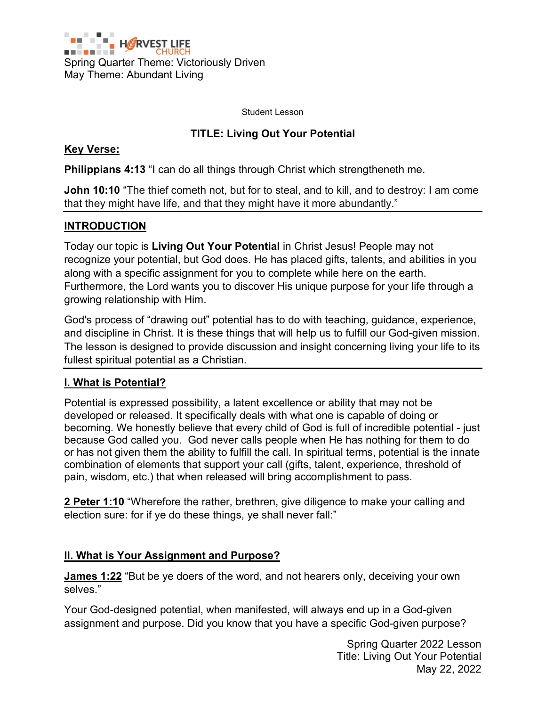

Student Lesson

# **TITLE: Living Out Your Potential**

#### **Key Verse:**

**Philippians 4:13** "I can do all things through Christ which strengtheneth me.

**John 10:10** "The thief cometh not, but for to steal, and to kill, and to destroy: I am come that they might have life, and that they might have it more abundantly."

## **INTRODUCTION**

Today our topic is **Living Out Your Potential** in Christ Jesus! People may not recognize your potential, but God does. He has placed gifts, talents, and abilities in you along with a specific assignment for you to complete while here on the earth. Furthermore, the Lord wants you to discover His unique purpose for your life through a growing relationship with Him.

God's process of "drawing out" potential has to do with teaching, guidance, experience, and discipline in Christ. It is these things that will help us to fulfill our God-given mission. The lesson is designed to provide discussion and insight concerning living your life to its fullest spiritual potential as a Christian.

## **I. What is Potential?**

Potential is expressed possibility, a latent excellence or ability that may not be developed or released. It specifically deals with what one is capable of doing or becoming. We honestly believe that every child of God is full of incredible potential - just because God called you. God never calls people when He has nothing for them to do or has not given them the ability to fulfill the call. In spiritual terms, potential is the innate combination of elements that support your call (gifts, talent, experience, threshold of pain, wisdom, etc.) that when released will bring accomplishment to pass.

**2 Peter 1:10** "Wherefore the rather, brethren, give diligence to make your calling and election sure: for if ye do these things, ye shall never fall:"

## **Il. What is Your Assignment and Purpose?**

**James 1:22** "But be ye doers of the word, and not hearers only, deceiving your own selves."

Your God-designed potential, when manifested, will always end up in a God-given assignment and purpose. Did you know that you have a specific God-given purpose?

> Spring Quarter 2022 Lesson Title: Living Out Your Potential May 22, 2022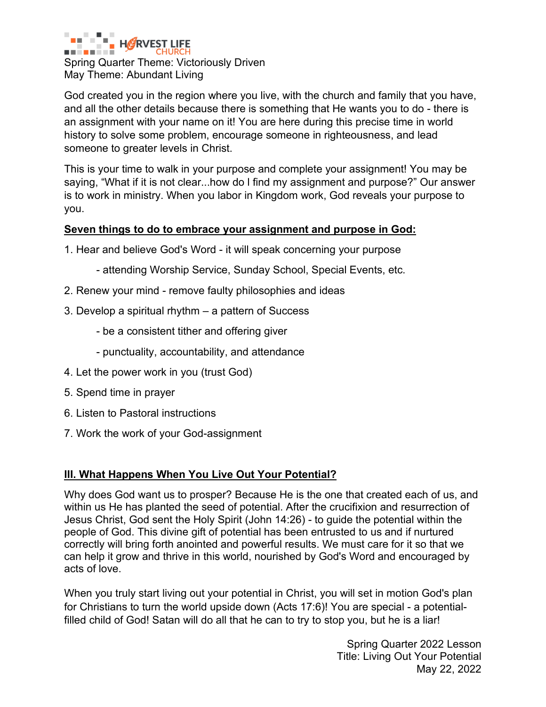

Spring Quarter Theme: Victoriously Driven May Theme: Abundant Living

God created you in the region where you live, with the church and family that you have, and all the other details because there is something that He wants you to do - there is an assignment with your name on it! You are here during this precise time in world history to solve some problem, encourage someone in righteousness, and lead someone to greater levels in Christ.

This is your time to walk in your purpose and complete your assignment! You may be saying, "What if it is not clear...how do l find my assignment and purpose?" Our answer is to work in ministry. When you labor in Kingdom work, God reveals your purpose to you.

#### **Seven things to do to embrace your assignment and purpose in God:**

- 1. Hear and believe God's Word it will speak concerning your purpose
	- attending Worship Service, Sunday School, Special Events, etc.
- 2. Renew your mind remove faulty philosophies and ideas
- 3. Develop a spiritual rhythm a pattern of Success
	- be a consistent tither and offering giver
	- punctuality, accountability, and attendance
- 4. Let the power work in you (trust God)
- 5. Spend time in prayer
- 6. Listen to Pastoral instructions
- 7. Work the work of your God-assignment

## **III. What Happens When You Live Out Your Potential?**

Why does God want us to prosper? Because He is the one that created each of us, and within us He has planted the seed of potential. After the crucifixion and resurrection of Jesus Christ, God sent the Holy Spirit (John 14:26) - to guide the potential within the people of God. This divine gift of potential has been entrusted to us and if nurtured correctly will bring forth anointed and powerful results. We must care for it so that we can help it grow and thrive in this world, nourished by God's Word and encouraged by acts of love.

When you truly start living out your potential in Christ, you will set in motion God's plan for Christians to turn the world upside down (Acts 17:6)! You are special - a potentialfilled child of God! Satan will do all that he can to try to stop you, but he is a liar!

> Spring Quarter 2022 Lesson Title: Living Out Your Potential May 22, 2022